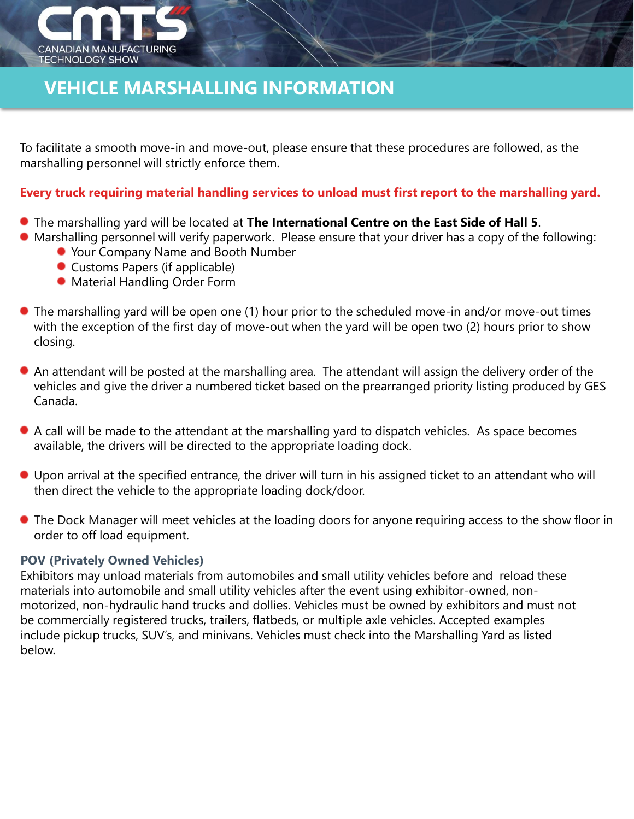

# **VEHICLE MARSHALLING INFORMATION**

To facilitate a smooth move-in and move-out, please ensure that these procedures are followed, as the marshalling personnel will strictly enforce them.

### **Every truck requiring material handling services to unload must first report to the marshalling yard.**

- The marshalling yard will be located at **The International Centre on the East Side of Hall 5**.
- Marshalling personnel will verify paperwork. Please ensure that your driver has a copy of the following:
	- Your Company Name and Booth Number
	- Customs Papers (if applicable)
	- Material Handling Order Form
- The marshalling yard will be open one (1) hour prior to the scheduled move-in and/or move-out times with the exception of the first day of move-out when the yard will be open two (2) hours prior to show closing.
- An attendant will be posted at the marshalling area. The attendant will assign the delivery order of the vehicles and give the driver a numbered ticket based on the prearranged priority listing produced by GES Canada.
- A call will be made to the attendant at the marshalling yard to dispatch vehicles. As space becomes available, the drivers will be directed to the appropriate loading dock.
- Upon arrival at the specified entrance, the driver will turn in his assigned ticket to an attendant who will then direct the vehicle to the appropriate loading dock/door.
- The Dock Manager will meet vehicles at the loading doors for anyone requiring access to the show floor in order to off load equipment.

### **POV (Privately Owned Vehicles)**

Exhibitors may unload materials from automobiles and small utility vehicles before and reload these materials into automobile and small utility vehicles after the event using exhibitor-owned, nonmotorized, non-hydraulic hand trucks and dollies. Vehicles must be owned by exhibitors and must not be commercially registered trucks, trailers, flatbeds, or multiple axle vehicles. Accepted examples include pickup trucks, SUV's, and minivans. Vehicles must check into the Marshalling Yard as listed below.